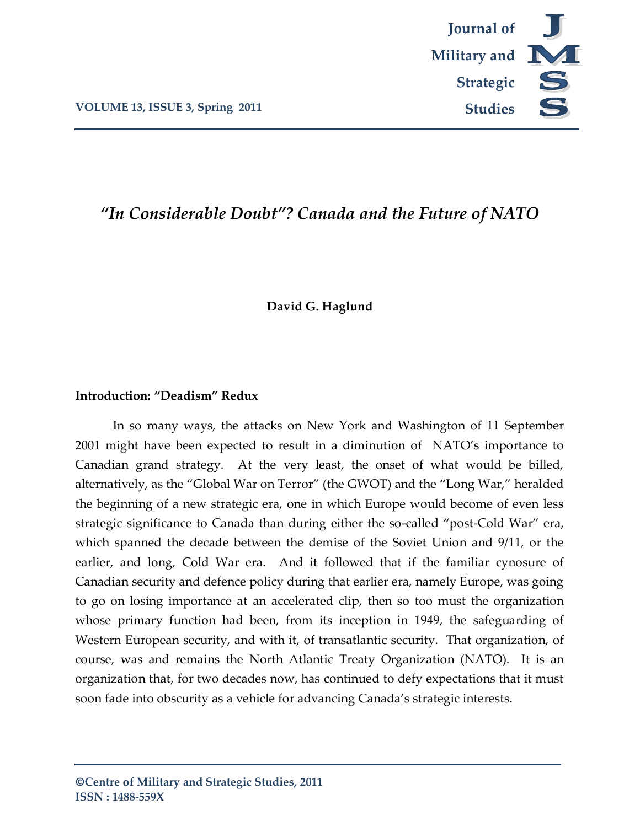

# *"In Considerable Doubt"? Canada and the Future of NATO*

### **David G. Haglund**

### **Introduction: "Deadism" Redux**

In so many ways, the attacks on New York and Washington of 11 September 2001 might have been expected to result in a diminution of NATO's importance to Canadian grand strategy. At the very least, the onset of what would be billed, alternatively, as the 'Global War on Terror' (the GWOT) and the 'Long War,' heralded the beginning of a new strategic era, one in which Europe would become of even less strategic significance to Canada than during either the so-called 'post-Cold War' era, which spanned the decade between the demise of the Soviet Union and 9/11, or the earlier, and long, Cold War era. And it followed that if the familiar cynosure of Canadian security and defence policy during that earlier era, namely Europe, was going to go on losing importance at an accelerated clip, then so too must the organization whose primary function had been, from its inception in 1949, the safeguarding of Western European security, and with it, of transatlantic security. That organization, of course, was and remains the North Atlantic Treaty Organization (NATO). It is an organization that, for two decades now, has continued to defy expectations that it must soon fade into obscurity as a vehicle for advancing Canada's strategic interests.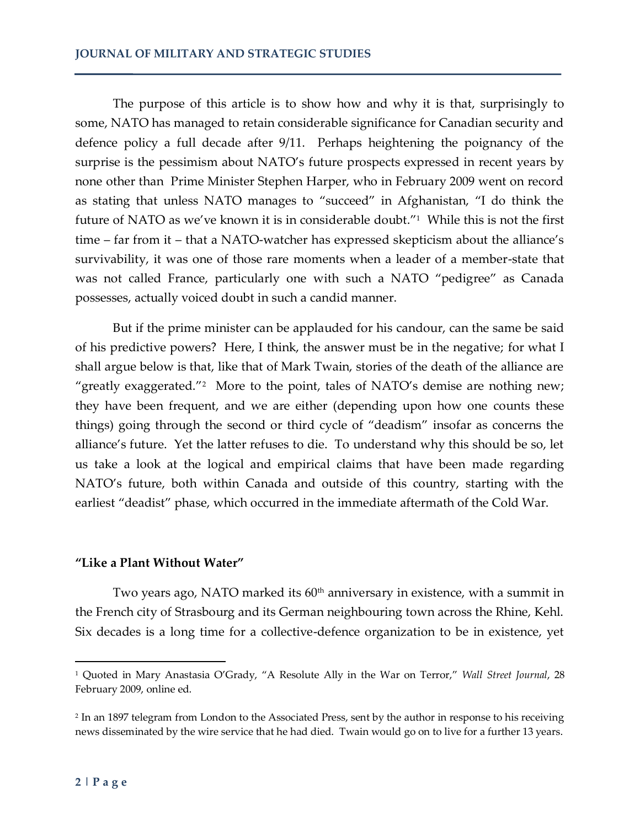The purpose of this article is to show how and why it is that, surprisingly to some, NATO has managed to retain considerable significance for Canadian security and defence policy a full decade after 9/11. Perhaps heightening the poignancy of the surprise is the pessimism about NATO's future prospects expressed in recent years by none other than Prime Minister Stephen Harper, who in February 2009 went on record as stating that unless NATO manages to 'succeed' in Afghanistan, 'I do think the future of NATO as we've known it is in considerable doubt.'<sup>1</sup> While this is not the first time – far from it – that a NATO-watcher has expressed skepticism about the alliance's survivability, it was one of those rare moments when a leader of a member-state that was not called France, particularly one with such a NATO "pedigree" as Canada possesses, actually voiced doubt in such a candid manner.

But if the prime minister can be applauded for his candour, can the same be said of his predictive powers? Here, I think, the answer must be in the negative; for what I shall argue below is that, like that of Mark Twain, stories of the death of the alliance are "greatly exaggerated."<sup>2</sup> More to the point, tales of NATO's demise are nothing new; they have been frequent, and we are either (depending upon how one counts these things) going through the second or third cycle of 'deadism' insofar as concerns the alliance's future. Yet the latter refuses to die. To understand why this should be so, let us take a look at the logical and empirical claims that have been made regarding NATO's future, both within Canada and outside of this country, starting with the earliest 'deadist' phase, which occurred in the immediate aftermath of the Cold War.

### **"Like a Plant Without Water"**

Two years ago, NATO marked its  $60<sup>th</sup>$  anniversary in existence, with a summit in the French city of Strasbourg and its German neighbouring town across the Rhine, Kehl. Six decades is a long time for a collective-defence organization to be in existence, yet

<sup>1</sup> Quoted in Mary Anastasia O'Grady, 'A Resolute Ally in the War on Terror,' *Wall Street Journal*, 28 February 2009, online ed.

<sup>2</sup> In an 1897 telegram from London to the Associated Press, sent by the author in response to his receiving news disseminated by the wire service that he had died. Twain would go on to live for a further 13 years.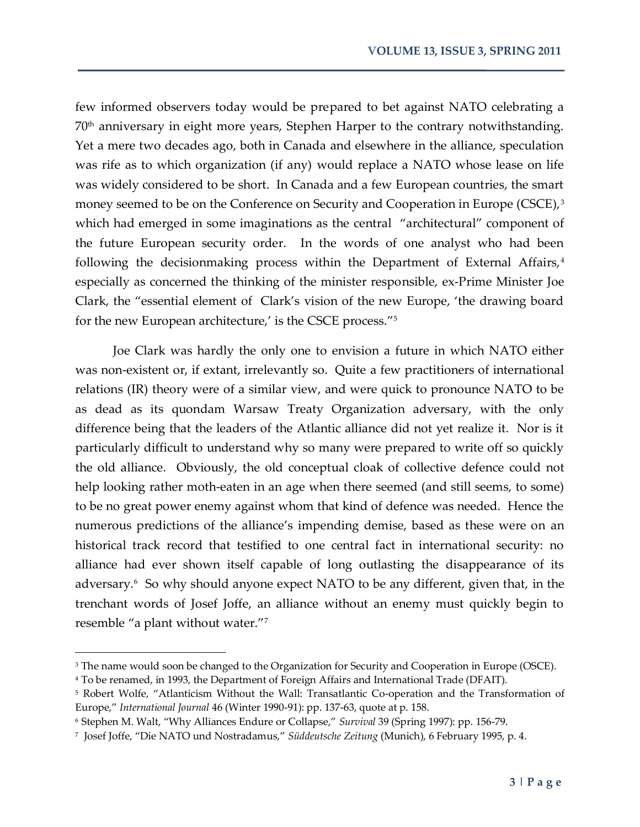few informed observers today would be prepared to bet against NATO celebrating a 70th anniversary in eight more years, Stephen Harper to the contrary notwithstanding. Yet a mere two decades ago, both in Canada and elsewhere in the alliance, speculation was rife as to which organization (if any) would replace a NATO whose lease on life was widely considered to be short. In Canada and a few European countries, the smart money seemed to be on the Conference on Security and Cooperation in Europe (CSCE),<sup>3</sup> which had emerged in some imaginations as the central "architectural" component of the future European security order. In the words of one analyst who had been following the decisionmaking process within the Department of External Affairs,<sup>4</sup> especially as concerned the thinking of the minister responsible, ex-Prime Minister Joe Clark, the 'essential element of Clark's vision of the new Europe, 'the drawing board for the new European architecture,' is the CSCE process."<sup>5</sup>

Joe Clark was hardly the only one to envision a future in which NATO either was non-existent or, if extant, irrelevantly so. Quite a few practitioners of international relations (IR) theory were of a similar view, and were quick to pronounce NATO to be as dead as its quondam Warsaw Treaty Organization adversary, with the only difference being that the leaders of the Atlantic alliance did not yet realize it. Nor is it particularly difficult to understand why so many were prepared to write off so quickly the old alliance. Obviously, the old conceptual cloak of collective defence could not help looking rather moth-eaten in an age when there seemed (and still seems, to some) to be no great power enemy against whom that kind of defence was needed. Hence the numerous predictions of the alliance's impending demise, based as these were on an historical track record that testified to one central fact in international security: no alliance had ever shown itself capable of long outlasting the disappearance of its adversary.<sup>6</sup> So why should anyone expect NATO to be any different, given that, in the trenchant words of Josef Joffe, an alliance without an enemy must quickly begin to resemble "a plant without water."7

<sup>&</sup>lt;sup>3</sup> The name would soon be changed to the Organization for Security and Cooperation in Europe (OSCE).

<sup>4</sup> To be renamed, in 1993, the Department of Foreign Affairs and International Trade (DFAIT).

<sup>5</sup> Robert Wolfe, 'Atlanticism Without the Wall: Transatlantic Co-operation and the Transformation of Europe,' *International Journal* 46 (Winter 1990-91): pp. 137-63, quote at p. 158.

<sup>6</sup> Stephen M. Walt, 'Why Alliances Endure or Collapse,' *Survival* 39 (Spring 1997): pp. 156-79.

<sup>7</sup> Josef Joffe, 'Die NATO und Nostradamus,' *Süddeutsche Zeitung* (Munich), 6 February 1995, p. 4.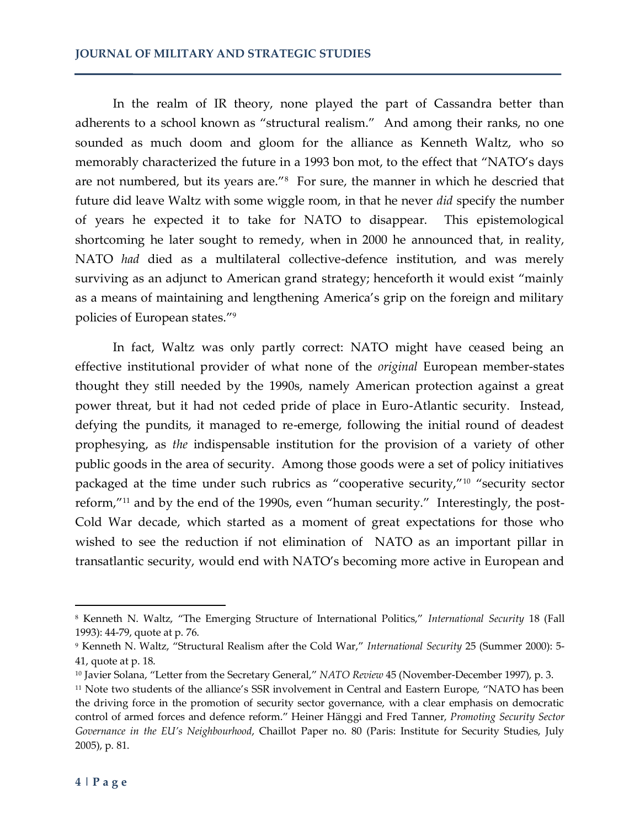In the realm of IR theory, none played the part of Cassandra better than adherents to a school known as "structural realism." And among their ranks, no one sounded as much doom and gloom for the alliance as Kenneth Waltz, who so memorably characterized the future in a 1993 bon mot, to the effect that 'NATO's days are not numbered, but its years are."<sup>8</sup> For sure, the manner in which he descried that future did leave Waltz with some wiggle room, in that he never *did* specify the number of years he expected it to take for NATO to disappear. This epistemological shortcoming he later sought to remedy, when in 2000 he announced that, in reality, NATO *had* died as a multilateral collective-defence institution, and was merely surviving as an adjunct to American grand strategy; henceforth it would exist 'mainly as a means of maintaining and lengthening America's grip on the foreign and military policies of European states.'<sup>9</sup>

In fact, Waltz was only partly correct: NATO might have ceased being an effective institutional provider of what none of the *original* European member-states thought they still needed by the 1990s, namely American protection against a great power threat, but it had not ceded pride of place in Euro-Atlantic security. Instead, defying the pundits, it managed to re-emerge, following the initial round of deadest prophesying, as *the* indispensable institution for the provision of a variety of other public goods in the area of security. Among those goods were a set of policy initiatives packaged at the time under such rubrics as "cooperative security,"<sup>10</sup> "security sector reform,"<sup>11</sup> and by the end of the 1990s, even "human security." Interestingly, the post-Cold War decade, which started as a moment of great expectations for those who wished to see the reduction if not elimination of NATO as an important pillar in transatlantic security, would end with NATO's becoming more active in European and

<sup>8</sup> Kenneth N. Waltz, 'The Emerging Structure of International Politics,' *International Security* 18 (Fall 1993): 44-79, quote at p. 76.

<sup>9</sup> Kenneth N. Waltz, 'Structural Realism after the Cold War,' *International Security* 25 (Summer 2000): 5- 41, quote at p. 18.

<sup>10</sup> Javier Solana, 'Letter from the Secretary General,' *NATO Review* 45 (November-December 1997), p. 3.

<sup>&</sup>lt;sup>11</sup> Note two students of the alliance's SSR involvement in Central and Eastern Europe, "NATO has been the driving force in the promotion of security sector governance, with a clear emphasis on democratic control of armed forces and defence reform.' Heiner Hänggi and Fred Tanner, *Promoting Security Sector Governance in the EU's Neighbourhood*, Chaillot Paper no. 80 (Paris: Institute for Security Studies, July 2005), p. 81.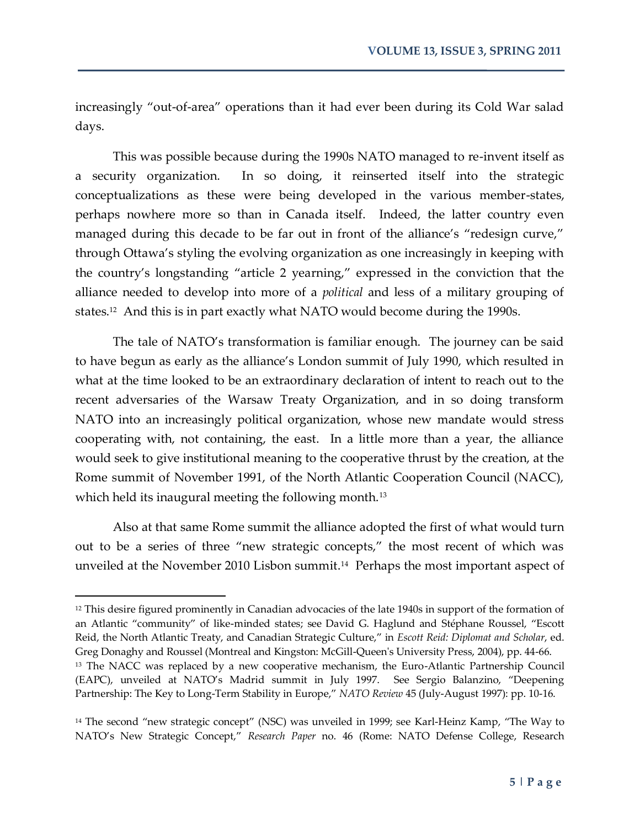increasingly 'out-of-area' operations than it had ever been during its Cold War salad days.

This was possible because during the 1990s NATO managed to re-invent itself as a security organization. In so doing, it reinserted itself into the strategic conceptualizations as these were being developed in the various member-states, perhaps nowhere more so than in Canada itself. Indeed, the latter country even managed during this decade to be far out in front of the alliance's "redesign curve," through Ottawa's styling the evolving organization as one increasingly in keeping with the country's longstanding 'article 2 yearning,' expressed in the conviction that the alliance needed to develop into more of a *political* and less of a military grouping of states.<sup>12</sup> And this is in part exactly what NATO would become during the 1990s.

The tale of NATO's transformation is familiar enough. The journey can be said to have begun as early as the alliance's London summit of July 1990, which resulted in what at the time looked to be an extraordinary declaration of intent to reach out to the recent adversaries of the Warsaw Treaty Organization, and in so doing transform NATO into an increasingly political organization, whose new mandate would stress cooperating with, not containing, the east. In a little more than a year, the alliance would seek to give institutional meaning to the cooperative thrust by the creation, at the Rome summit of November 1991, of the North Atlantic Cooperation Council (NACC), which held its inaugural meeting the following month.<sup>13</sup>

Also at that same Rome summit the alliance adopted the first of what would turn out to be a series of three 'new strategic concepts,' the most recent of which was unveiled at the November 2010 Lisbon summit.<sup>14</sup> Perhaps the most important aspect of

<sup>&</sup>lt;sup>12</sup> This desire figured prominently in Canadian advocacies of the late 1940s in support of the formation of an Atlantic 'community' of like-minded states; see David G. Haglund and Stéphane Roussel, 'Escott Reid, the North Atlantic Treaty, and Canadian Strategic Culture,' in *Escott Reid: Diplomat and Scholar*, ed. Greg Donaghy and Roussel (Montreal and Kingston: McGill-Queen's University Press, 2004), pp. 44-66. <sup>13</sup> The NACC was replaced by a new cooperative mechanism, the Euro-Atlantic Partnership Council (EAPC), unveiled at NATO's Madrid summit in July 1997. See Sergio Balanzino, 'Deepening Partnership: The Key to Long-Term Stability in Europe,' *NATO Review* 45 (July-August 1997): pp. 10-16.

<sup>&</sup>lt;sup>14</sup> The second "new strategic concept" (NSC) was unveiled in 1999; see Karl-Heinz Kamp, "The Way to NATO's New Strategic Concept,' *Research Paper* no. 46 (Rome: NATO Defense College, Research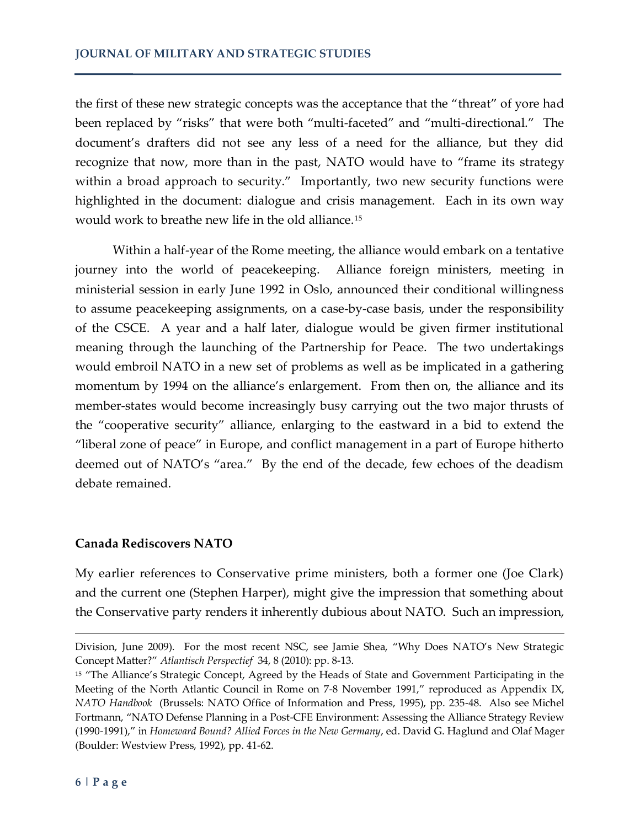the first of these new strategic concepts was the acceptance that the 'threat' of yore had been replaced by "risks" that were both "multi-faceted" and "multi-directional." The document's drafters did not see any less of a need for the alliance, but they did recognize that now, more than in the past, NATO would have to "frame its strategy within a broad approach to security." Importantly, two new security functions were highlighted in the document: dialogue and crisis management. Each in its own way would work to breathe new life in the old alliance.<sup>15</sup>

Within a half-year of the Rome meeting, the alliance would embark on a tentative journey into the world of peacekeeping. Alliance foreign ministers, meeting in ministerial session in early June 1992 in Oslo, announced their conditional willingness to assume peacekeeping assignments, on a case-by-case basis, under the responsibility of the CSCE. A year and a half later, dialogue would be given firmer institutional meaning through the launching of the Partnership for Peace. The two undertakings would embroil NATO in a new set of problems as well as be implicated in a gathering momentum by 1994 on the alliance's enlargement. From then on, the alliance and its member-states would become increasingly busy carrying out the two major thrusts of the 'cooperative security' alliance, enlarging to the eastward in a bid to extend the 'liberal zone of peace' in Europe, and conflict management in a part of Europe hitherto deemed out of NATO's 'area.' By the end of the decade, few echoes of the deadism debate remained.

## **Canada Rediscovers NATO**

My earlier references to Conservative prime ministers, both a former one (Joe Clark) and the current one (Stephen Harper), might give the impression that something about the Conservative party renders it inherently dubious about NATO. Such an impression,

Division, June 2009). For the most recent NSC, see Jamie Shea, 'Why Does NATO's New Strategic Concept Matter?' *Atlantisch Perspectief* 34, 8 (2010): pp. 8-13.

<sup>&</sup>lt;sup>15</sup> "The Alliance's Strategic Concept, Agreed by the Heads of State and Government Participating in the Meeting of the North Atlantic Council in Rome on 7-8 November 1991," reproduced as Appendix IX, *NATO Handbook* (Brussels: NATO Office of Information and Press, 1995), pp. 235-48. Also see Michel Fortmann, 'NATO Defense Planning in a Post-CFE Environment: Assessing the Alliance Strategy Review (1990-1991),' in *Homeward Bound? Allied Forces in the New Germany*, ed. David G. Haglund and Olaf Mager (Boulder: Westview Press, 1992), pp. 41-62.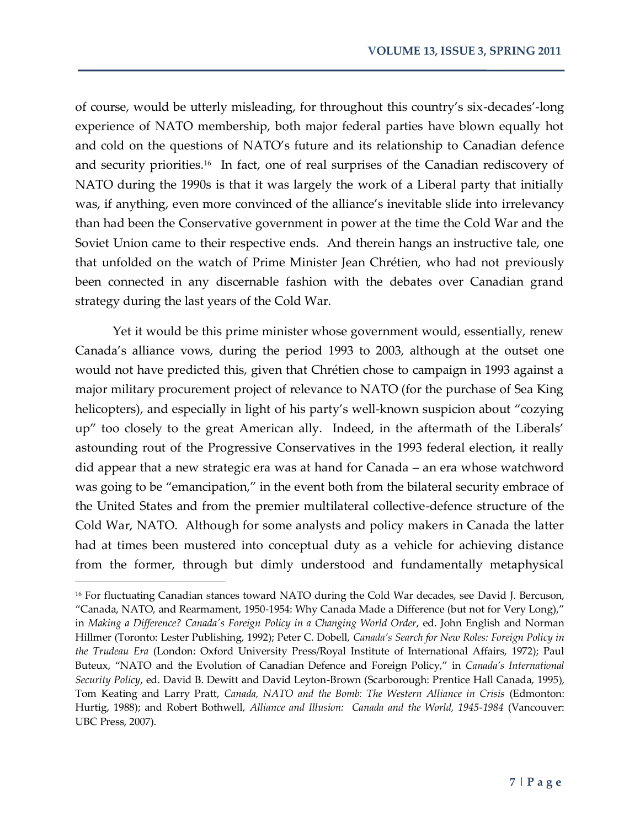of course, would be utterly misleading, for throughout this country's six-decades'-long experience of NATO membership, both major federal parties have blown equally hot and cold on the questions of NATO's future and its relationship to Canadian defence and security priorities.<sup>16</sup> In fact, one of real surprises of the Canadian rediscovery of NATO during the 1990s is that it was largely the work of a Liberal party that initially was, if anything, even more convinced of the alliance's inevitable slide into irrelevancy than had been the Conservative government in power at the time the Cold War and the Soviet Union came to their respective ends. And therein hangs an instructive tale, one that unfolded on the watch of Prime Minister Jean Chrétien, who had not previously been connected in any discernable fashion with the debates over Canadian grand strategy during the last years of the Cold War.

Yet it would be this prime minister whose government would, essentially, renew Canada's alliance vows, during the period 1993 to 2003, although at the outset one would not have predicted this, given that Chrétien chose to campaign in 1993 against a major military procurement project of relevance to NATO (for the purchase of Sea King helicopters), and especially in light of his party's well-known suspicion about "cozying up' too closely to the great American ally. Indeed, in the aftermath of the Liberals' astounding rout of the Progressive Conservatives in the 1993 federal election, it really did appear that a new strategic era was at hand for Canada – an era whose watchword was going to be "emancipation," in the event both from the bilateral security embrace of the United States and from the premier multilateral collective-defence structure of the Cold War, NATO. Although for some analysts and policy makers in Canada the latter had at times been mustered into conceptual duty as a vehicle for achieving distance from the former, through but dimly understood and fundamentally metaphysical

<sup>&</sup>lt;sup>16</sup> For fluctuating Canadian stances toward NATO during the Cold War decades, see David J. Bercuson, 'Canada, NATO, and Rearmament, 1950-1954: Why Canada Made a Difference (but not for Very Long),' in *Making a Difference? Canada's Foreign Policy in a Changing World Order*, ed. John English and Norman Hillmer (Toronto: Lester Publishing, 1992); Peter C. Dobell, *Canada's Search for New Roles: Foreign Policy in the Trudeau Era* (London: Oxford University Press/Royal Institute of International Affairs, 1972); Paul Buteux, 'NATO and the Evolution of Canadian Defence and Foreign Policy,' in *Canada's International Security Policy*, ed. David B. Dewitt and David Leyton-Brown (Scarborough: Prentice Hall Canada, 1995), Tom Keating and Larry Pratt, *Canada, NATO and the Bomb: The Western Alliance in Crisis* (Edmonton: Hurtig, 1988); and Robert Bothwell, *Alliance and Illusion: Canada and the World, 1945-1984* (Vancouver: UBC Press, 2007).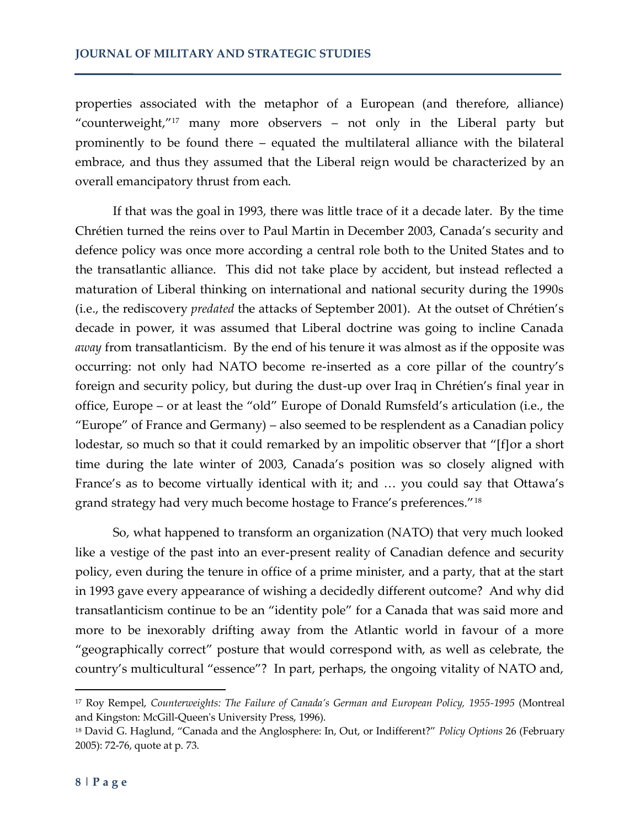properties associated with the metaphor of a European (and therefore, alliance) "counterweight, $^{\prime\prime}$ <sup>17</sup> many more observers – not only in the Liberal party but prominently to be found there – equated the multilateral alliance with the bilateral embrace, and thus they assumed that the Liberal reign would be characterized by an overall emancipatory thrust from each.

If that was the goal in 1993, there was little trace of it a decade later. By the time Chrétien turned the reins over to Paul Martin in December 2003, Canada's security and defence policy was once more according a central role both to the United States and to the transatlantic alliance. This did not take place by accident, but instead reflected a maturation of Liberal thinking on international and national security during the 1990s (i.e., the rediscovery *predated* the attacks of September 2001). At the outset of Chrétien's decade in power, it was assumed that Liberal doctrine was going to incline Canada *away* from transatlanticism. By the end of his tenure it was almost as if the opposite was occurring: not only had NATO become re-inserted as a core pillar of the country's foreign and security policy, but during the dust-up over Iraq in Chrétien's final year in office, Europe – or at least the 'old' Europe of Donald Rumsfeld's articulation (i.e., the 'Europe' of France and Germany) – also seemed to be resplendent as a Canadian policy lodestar, so much so that it could remarked by an impolitic observer that "[f]or a short time during the late winter of 2003, Canada's position was so closely aligned with France's as to become virtually identical with it; and ... you could say that Ottawa's grand strategy had very much become hostage to France's preferences."<sup>18</sup>

So, what happened to transform an organization (NATO) that very much looked like a vestige of the past into an ever-present reality of Canadian defence and security policy, even during the tenure in office of a prime minister, and a party, that at the start in 1993 gave every appearance of wishing a decidedly different outcome? And why did transatlanticism continue to be an 'identity pole' for a Canada that was said more and more to be inexorably drifting away from the Atlantic world in favour of a more 'geographically correct' posture that would correspond with, as well as celebrate, the country's multicultural 'essence'? In part, perhaps, the ongoing vitality of NATO and,

<sup>17</sup> Roy Rempel, *Counterweights: The Failure of Canada's German and European Policy, 1955-1995* (Montreal and Kingston: McGill-Queen's University Press, 1996).

<sup>18</sup> David G. Haglund, 'Canada and the Anglosphere: In, Out, or Indifferent?' *Policy Options* 26 (February 2005): 72-76, quote at p. 73.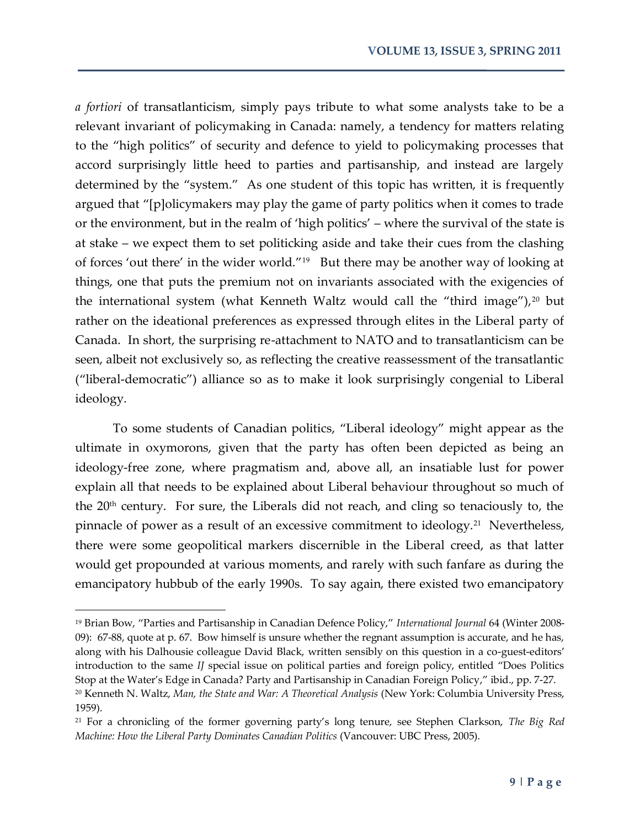*a fortiori* of transatlanticism, simply pays tribute to what some analysts take to be a relevant invariant of policymaking in Canada: namely, a tendency for matters relating to the 'high politics' of security and defence to yield to policymaking processes that accord surprisingly little heed to parties and partisanship, and instead are largely determined by the "system." As one student of this topic has written, it is frequently argued that "[p]olicymakers may play the game of party politics when it comes to trade or the environment, but in the realm of 'high politics' – where the survival of the state is at stake – we expect them to set politicking aside and take their cues from the clashing of forces 'out there' in the wider world."<sup>19</sup> But there may be another way of looking at things, one that puts the premium not on invariants associated with the exigencies of the international system (what Kenneth Waltz would call the "third image"), $20$  but rather on the ideational preferences as expressed through elites in the Liberal party of Canada. In short, the surprising re-attachment to NATO and to transatlanticism can be seen, albeit not exclusively so, as reflecting the creative reassessment of the transatlantic ('liberal-democratic') alliance so as to make it look surprisingly congenial to Liberal ideology.

To some students of Canadian politics, 'Liberal ideology' might appear as the ultimate in oxymorons, given that the party has often been depicted as being an ideology-free zone, where pragmatism and, above all, an insatiable lust for power explain all that needs to be explained about Liberal behaviour throughout so much of the  $20<sup>th</sup>$  century. For sure, the Liberals did not reach, and cling so tenaciously to, the pinnacle of power as a result of an excessive commitment to ideology.<sup>21</sup> Nevertheless, there were some geopolitical markers discernible in the Liberal creed, as that latter would get propounded at various moments, and rarely with such fanfare as during the emancipatory hubbub of the early 1990s. To say again, there existed two emancipatory

<sup>19</sup> Brian Bow, 'Parties and Partisanship in Canadian Defence Policy,' *International Journal* 64 (Winter 2008- 09): 67-88, quote at p. 67. Bow himself is unsure whether the regnant assumption is accurate, and he has, along with his Dalhousie colleague David Black, written sensibly on this question in a co-guest-editors' introduction to the same *IJ* special issue on political parties and foreign policy, entitled 'Does Politics Stop at the Water's Edge in Canada? Party and Partisanship in Canadian Foreign Policy,' ibid., pp. 7-27. <sup>20</sup> Kenneth N. Waltz, *Man, the State and War: A Theoretical Analysis* (New York: Columbia University Press, 1959).

<sup>21</sup> For a chronicling of the former governing party's long tenure, see Stephen Clarkson, *The Big Red Machine: How the Liberal Party Dominates Canadian Politics* (Vancouver: UBC Press, 2005).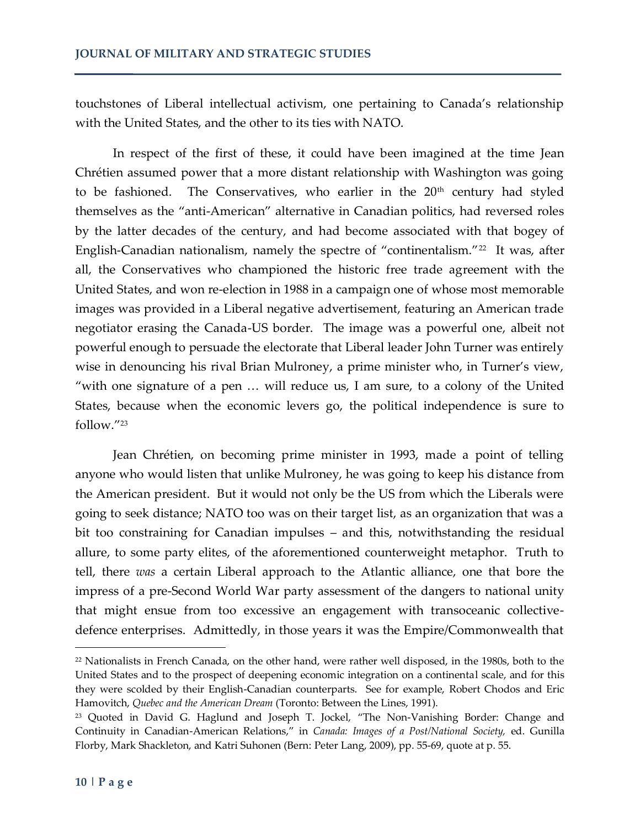touchstones of Liberal intellectual activism, one pertaining to Canada's relationship with the United States, and the other to its ties with NATO.

In respect of the first of these, it could have been imagined at the time Jean Chrétien assumed power that a more distant relationship with Washington was going to be fashioned. The Conservatives, who earlier in the  $20<sup>th</sup>$  century had styled themselves as the 'anti-American' alternative in Canadian politics, had reversed roles by the latter decades of the century, and had become associated with that bogey of English-Canadian nationalism, namely the spectre of "continentalism."<sup>22</sup> It was, after all, the Conservatives who championed the historic free trade agreement with the United States, and won re-election in 1988 in a campaign one of whose most memorable images was provided in a Liberal negative advertisement, featuring an American trade negotiator erasing the Canada-US border. The image was a powerful one, albeit not powerful enough to persuade the electorate that Liberal leader John Turner was entirely wise in denouncing his rival Brian Mulroney, a prime minister who, in Turner's view, "with one signature of a pen  $\ldots$  will reduce us, I am sure, to a colony of the United States, because when the economic levers go, the political independence is sure to follow."<sup>23</sup>

Jean Chrétien, on becoming prime minister in 1993, made a point of telling anyone who would listen that unlike Mulroney, he was going to keep his distance from the American president. But it would not only be the US from which the Liberals were going to seek distance; NATO too was on their target list, as an organization that was a bit too constraining for Canadian impulses – and this, notwithstanding the residual allure, to some party elites, of the aforementioned counterweight metaphor. Truth to tell, there *was* a certain Liberal approach to the Atlantic alliance, one that bore the impress of a pre-Second World War party assessment of the dangers to national unity that might ensue from too excessive an engagement with transoceanic collectivedefence enterprises. Admittedly, in those years it was the Empire/Commonwealth that

<sup>22</sup> Nationalists in French Canada, on the other hand, were rather well disposed, in the 1980s, both to the United States and to the prospect of deepening economic integration on a continental scale, and for this they were scolded by their English-Canadian counterparts. See for example, Robert Chodos and Eric Hamovitch, *Quebec and the American Dream* (Toronto: Between the Lines, 1991).

<sup>&</sup>lt;sup>23</sup> Quoted in David G. Haglund and Joseph T. Jockel, "The Non-Vanishing Border: Change and Continuity in Canadian-American Relations,' in *Canada: Images of a Post/National Society,* ed. Gunilla Florby, Mark Shackleton, and Katri Suhonen (Bern: Peter Lang, 2009), pp. 55-69, quote at p. 55.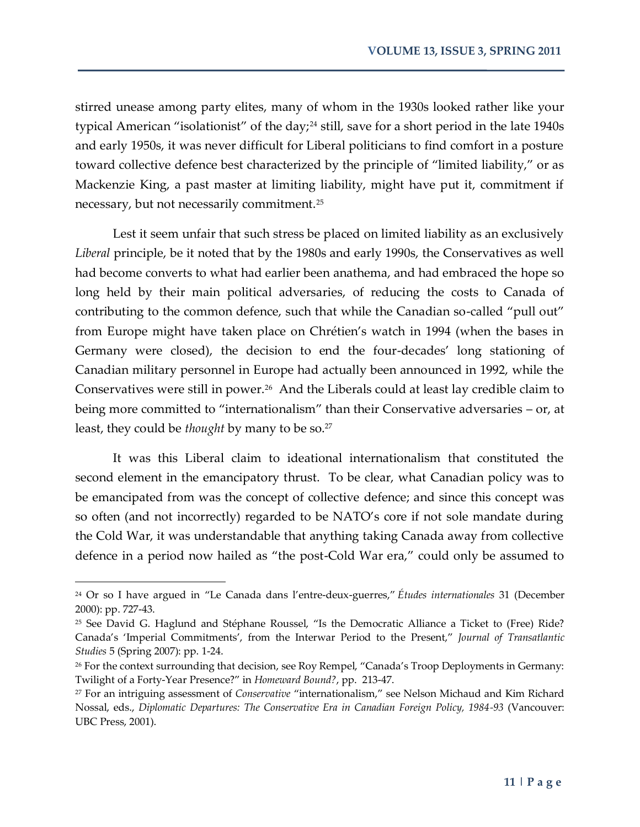stirred unease among party elites, many of whom in the 1930s looked rather like your typical American "isolationist" of the day;<sup>24</sup> still, save for a short period in the late 1940s and early 1950s, it was never difficult for Liberal politicians to find comfort in a posture toward collective defence best characterized by the principle of 'limited liability,' or as Mackenzie King, a past master at limiting liability, might have put it, commitment if necessary, but not necessarily commitment.<sup>25</sup>

Lest it seem unfair that such stress be placed on limited liability as an exclusively *Liberal* principle, be it noted that by the 1980s and early 1990s, the Conservatives as well had become converts to what had earlier been anathema, and had embraced the hope so long held by their main political adversaries, of reducing the costs to Canada of contributing to the common defence, such that while the Canadian so-called 'pull out' from Europe might have taken place on Chrétien's watch in 1994 (when the bases in Germany were closed), the decision to end the four-decades' long stationing of Canadian military personnel in Europe had actually been announced in 1992, while the Conservatives were still in power.<sup>26</sup> And the Liberals could at least lay credible claim to being more committed to "internationalism" than their Conservative adversaries – or, at least, they could be *thought* by many to be so.<sup>27</sup>

It was this Liberal claim to ideational internationalism that constituted the second element in the emancipatory thrust. To be clear, what Canadian policy was to be emancipated from was the concept of collective defence; and since this concept was so often (and not incorrectly) regarded to be NATO's core if not sole mandate during the Cold War, it was understandable that anything taking Canada away from collective defence in a period now hailed as 'the post-Cold War era,' could only be assumed to

<sup>24</sup> Or so I have argued in 'Le Canada dans l'entre-deux-guerres,' *Études internationales* 31 (December 2000): pp. 727-43.

<sup>25</sup> See David G. Haglund and Stéphane Roussel, 'Is the Democratic Alliance a Ticket to (Free) Ride? Canada's 'Imperial Commitments', from the Interwar Period to the Present,' *Journal of Transatlantic Studies* 5 (Spring 2007): pp. 1-24.

<sup>&</sup>lt;sup>26</sup> For the context surrounding that decision, see Roy Rempel, "Canada's Troop Deployments in Germany: Twilight of a Forty-Year Presence?' in *Homeward Bound?*, pp. 213-47.

<sup>27</sup> For an intriguing assessment of *Conservative* 'internationalism,' see Nelson Michaud and Kim Richard Nossal, eds., *Diplomatic Departures: The Conservative Era in Canadian Foreign Policy, 1984-93* (Vancouver: UBC Press, 2001).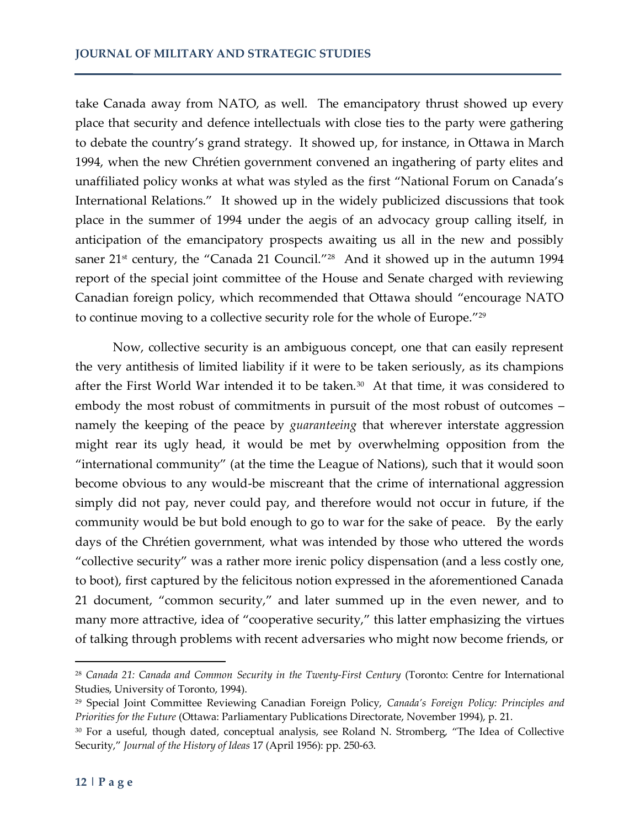take Canada away from NATO, as well. The emancipatory thrust showed up every place that security and defence intellectuals with close ties to the party were gathering to debate the country's grand strategy. It showed up, for instance, in Ottawa in March 1994, when the new Chrétien government convened an ingathering of party elites and unaffiliated policy wonks at what was styled as the first 'National Forum on Canada's International Relations.' It showed up in the widely publicized discussions that took place in the summer of 1994 under the aegis of an advocacy group calling itself, in anticipation of the emancipatory prospects awaiting us all in the new and possibly saner 21st century, the "Canada 21 Council."<sup>28</sup> And it showed up in the autumn 1994 report of the special joint committee of the House and Senate charged with reviewing Canadian foreign policy, which recommended that Ottawa should 'encourage NATO to continue moving to a collective security role for the whole of Europe."<sup>29</sup>

Now, collective security is an ambiguous concept, one that can easily represent the very antithesis of limited liability if it were to be taken seriously, as its champions after the First World War intended it to be taken.<sup>30</sup> At that time, it was considered to embody the most robust of commitments in pursuit of the most robust of outcomes – namely the keeping of the peace by *guaranteeing* that wherever interstate aggression might rear its ugly head, it would be met by overwhelming opposition from the 'international community' (at the time the League of Nations), such that it would soon become obvious to any would-be miscreant that the crime of international aggression simply did not pay, never could pay, and therefore would not occur in future, if the community would be but bold enough to go to war for the sake of peace. By the early days of the Chrétien government, what was intended by those who uttered the words 'collective security' was a rather more irenic policy dispensation (and a less costly one, to boot), first captured by the felicitous notion expressed in the aforementioned Canada 21 document, 'common security,' and later summed up in the even newer, and to many more attractive, idea of "cooperative security," this latter emphasizing the virtues of talking through problems with recent adversaries who might now become friends, or

<sup>28</sup> *Canada 21: Canada and Common Security in the Twenty-First Century* (Toronto: Centre for International Studies, University of Toronto, 1994).

<sup>29</sup> Special Joint Committee Reviewing Canadian Foreign Policy, *Canada's Foreign Policy: Principles and Priorities for the Future* (Ottawa: Parliamentary Publications Directorate, November 1994), p. 21.

<sup>30</sup> For a useful, though dated, conceptual analysis, see Roland N. Stromberg, 'The Idea of Collective Security,' *Journal of the History of Ideas* 17 (April 1956): pp. 250-63.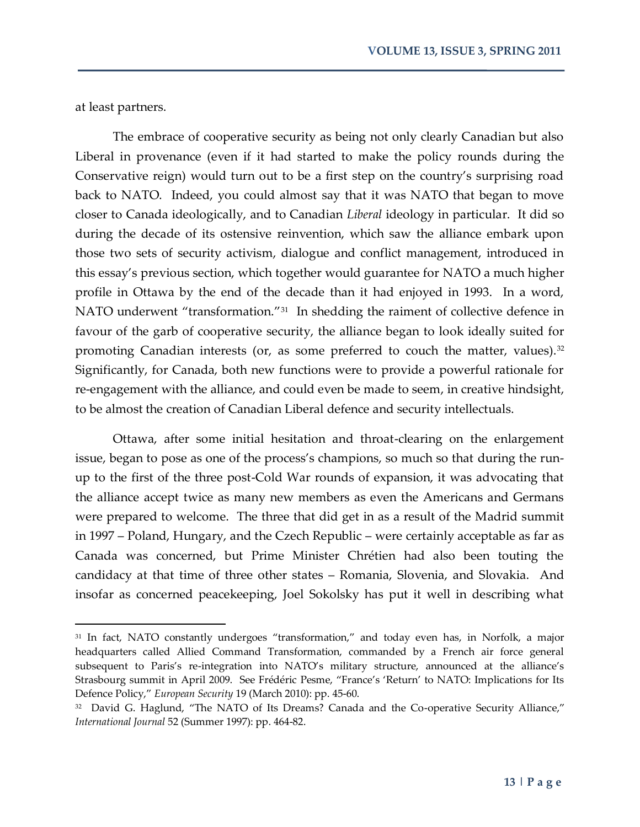at least partners.

 $\overline{\phantom{a}}$ 

The embrace of cooperative security as being not only clearly Canadian but also Liberal in provenance (even if it had started to make the policy rounds during the Conservative reign) would turn out to be a first step on the country's surprising road back to NATO. Indeed, you could almost say that it was NATO that began to move closer to Canada ideologically, and to Canadian *Liberal* ideology in particular. It did so during the decade of its ostensive reinvention, which saw the alliance embark upon those two sets of security activism, dialogue and conflict management, introduced in this essay's previous section, which together would guarantee for NATO a much higher profile in Ottawa by the end of the decade than it had enjoyed in 1993. In a word, NATO underwent "transformation."<sup>31</sup> In shedding the raiment of collective defence in favour of the garb of cooperative security, the alliance began to look ideally suited for promoting Canadian interests (or, as some preferred to couch the matter, values). $32$ Significantly, for Canada, both new functions were to provide a powerful rationale for re-engagement with the alliance, and could even be made to seem, in creative hindsight, to be almost the creation of Canadian Liberal defence and security intellectuals.

Ottawa, after some initial hesitation and throat-clearing on the enlargement issue, began to pose as one of the process's champions, so much so that during the runup to the first of the three post-Cold War rounds of expansion, it was advocating that the alliance accept twice as many new members as even the Americans and Germans were prepared to welcome. The three that did get in as a result of the Madrid summit in 1997 – Poland, Hungary, and the Czech Republic – were certainly acceptable as far as Canada was concerned, but Prime Minister Chrétien had also been touting the candidacy at that time of three other states – Romania, Slovenia, and Slovakia. And insofar as concerned peacekeeping, Joel Sokolsky has put it well in describing what

<sup>&</sup>lt;sup>31</sup> In fact, NATO constantly undergoes "transformation," and today even has, in Norfolk, a major headquarters called Allied Command Transformation, commanded by a French air force general subsequent to Paris's re-integration into NATO's military structure, announced at the alliance's Strasbourg summit in April 2009. See Frédéric Pesme, 'France's 'Return' to NATO: Implications for Its Defence Policy,' *European Security* 19 (March 2010): pp. 45-60.

<sup>32</sup> David G. Haglund, 'The NATO of Its Dreams? Canada and the Co-operative Security Alliance,' *International Journal* 52 (Summer 1997): pp. 464-82.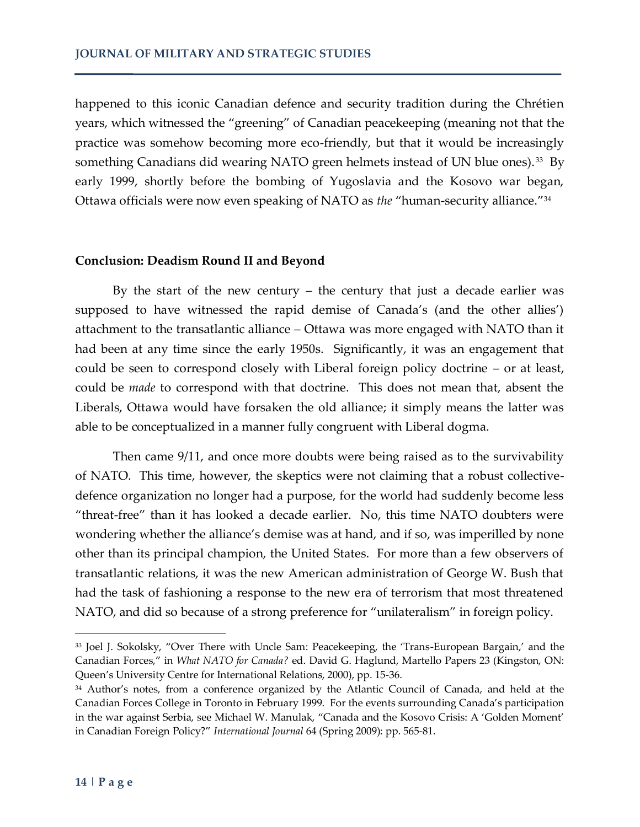happened to this iconic Canadian defence and security tradition during the Chrétien years, which witnessed the 'greening' of Canadian peacekeeping (meaning not that the practice was somehow becoming more eco-friendly, but that it would be increasingly something Canadians did wearing NATO green helmets instead of UN blue ones).<sup>33</sup> By early 1999, shortly before the bombing of Yugoslavia and the Kosovo war began, Ottawa officials were now even speaking of NATO as *the* "human-security alliance."<sup>34</sup>

### **Conclusion: Deadism Round II and Beyond**

By the start of the new century – the century that just a decade earlier was supposed to have witnessed the rapid demise of Canada's (and the other allies') attachment to the transatlantic alliance – Ottawa was more engaged with NATO than it had been at any time since the early 1950s. Significantly, it was an engagement that could be seen to correspond closely with Liberal foreign policy doctrine – or at least, could be *made* to correspond with that doctrine. This does not mean that, absent the Liberals, Ottawa would have forsaken the old alliance; it simply means the latter was able to be conceptualized in a manner fully congruent with Liberal dogma.

Then came 9/11, and once more doubts were being raised as to the survivability of NATO. This time, however, the skeptics were not claiming that a robust collectivedefence organization no longer had a purpose, for the world had suddenly become less 'threat-free' than it has looked a decade earlier. No, this time NATO doubters were wondering whether the alliance's demise was at hand, and if so, was imperilled by none other than its principal champion, the United States. For more than a few observers of transatlantic relations, it was the new American administration of George W. Bush that had the task of fashioning a response to the new era of terrorism that most threatened NATO, and did so because of a strong preference for "unilateralism" in foreign policy.

<sup>33</sup> Joel J. Sokolsky, 'Over There with Uncle Sam: Peacekeeping, the 'Trans-European Bargain,' and the Canadian Forces,' in *What NATO for Canada?* ed. David G. Haglund, Martello Papers 23 (Kingston, ON: Queen's University Centre for International Relations, 2000), pp. 15-36.

<sup>34</sup> Author's notes, from a conference organized by the Atlantic Council of Canada, and held at the Canadian Forces College in Toronto in February 1999. For the events surrounding Canada's participation in the war against Serbia, see Michael W. Manulak, 'Canada and the Kosovo Crisis: A 'Golden Moment' in Canadian Foreign Policy?' *International Journal* 64 (Spring 2009): pp. 565-81.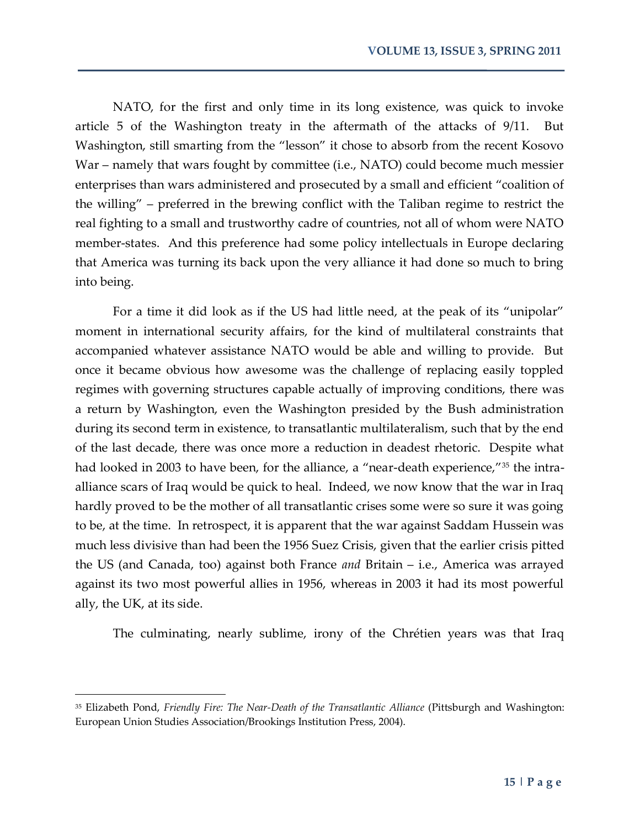NATO, for the first and only time in its long existence, was quick to invoke article 5 of the Washington treaty in the aftermath of the attacks of 9/11. But Washington, still smarting from the 'lesson' it chose to absorb from the recent Kosovo War – namely that wars fought by committee (i.e., NATO) could become much messier enterprises than wars administered and prosecuted by a small and efficient 'coalition of the willing' – preferred in the brewing conflict with the Taliban regime to restrict the real fighting to a small and trustworthy cadre of countries, not all of whom were NATO member-states. And this preference had some policy intellectuals in Europe declaring that America was turning its back upon the very alliance it had done so much to bring into being.

For a time it did look as if the US had little need, at the peak of its "unipolar" moment in international security affairs, for the kind of multilateral constraints that accompanied whatever assistance NATO would be able and willing to provide. But once it became obvious how awesome was the challenge of replacing easily toppled regimes with governing structures capable actually of improving conditions, there was a return by Washington, even the Washington presided by the Bush administration during its second term in existence, to transatlantic multilateralism, such that by the end of the last decade, there was once more a reduction in deadest rhetoric. Despite what had looked in 2003 to have been, for the alliance, a "near-death experience,"<sup>35</sup> the intraalliance scars of Iraq would be quick to heal. Indeed, we now know that the war in Iraq hardly proved to be the mother of all transatlantic crises some were so sure it was going to be, at the time. In retrospect, it is apparent that the war against Saddam Hussein was much less divisive than had been the 1956 Suez Crisis, given that the earlier crisis pitted the US (and Canada, too) against both France *and* Britain – i.e., America was arrayed against its two most powerful allies in 1956, whereas in 2003 it had its most powerful ally, the UK, at its side.

The culminating, nearly sublime, irony of the Chrétien years was that Iraq

<sup>35</sup> Elizabeth Pond, *Friendly Fire: The Near-Death of the Transatlantic Alliance* (Pittsburgh and Washington: European Union Studies Association/Brookings Institution Press, 2004).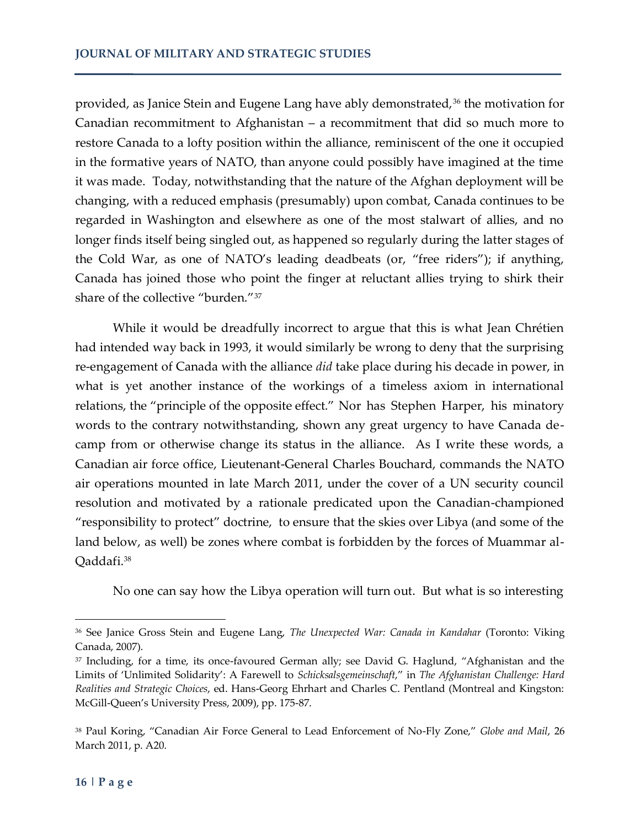provided, as Janice Stein and Eugene Lang have ably demonstrated,<sup>36</sup> the motivation for Canadian recommitment to Afghanistan – a recommitment that did so much more to restore Canada to a lofty position within the alliance, reminiscent of the one it occupied in the formative years of NATO, than anyone could possibly have imagined at the time it was made. Today, notwithstanding that the nature of the Afghan deployment will be changing, with a reduced emphasis (presumably) upon combat, Canada continues to be regarded in Washington and elsewhere as one of the most stalwart of allies, and no longer finds itself being singled out, as happened so regularly during the latter stages of the Cold War, as one of NATO's leading deadbeats (or, 'free riders'); if anything, Canada has joined those who point the finger at reluctant allies trying to shirk their share of the collective "burden."<sup>37</sup>

While it would be dreadfully incorrect to argue that this is what Jean Chrétien had intended way back in 1993, it would similarly be wrong to deny that the surprising re-engagement of Canada with the alliance *did* take place during his decade in power, in what is yet another instance of the workings of a timeless axiom in international relations, the 'principle of the opposite effect.' Nor has Stephen Harper, his minatory words to the contrary notwithstanding, shown any great urgency to have Canada decamp from or otherwise change its status in the alliance. As I write these words, a Canadian air force office, Lieutenant-General Charles Bouchard, commands the NATO air operations mounted in late March 2011, under the cover of a UN security council resolution and motivated by a rationale predicated upon the Canadian-championed 'responsibility to protect' doctrine, to ensure that the skies over Libya (and some of the land below, as well) be zones where combat is forbidden by the forces of Muammar al-Qaddafi.<sup>38</sup>

No one can say how the Libya operation will turn out. But what is so interesting

<sup>36</sup> See Janice Gross Stein and Eugene Lang, *The Unexpected War: Canada in Kandahar* (Toronto: Viking Canada, 2007).

<sup>&</sup>lt;sup>37</sup> Including, for a time, its once-favoured German ally; see David G. Haglund, "Afghanistan and the Limits of 'Unlimited Solidarity': A Farewell to *Schicksalsgemeinschaft*,' in *The Afghanistan Challenge: Hard Realities and Strategic Choices*, ed. Hans-Georg Ehrhart and Charles C. Pentland (Montreal and Kingston: McGill-Queen's University Press, 2009), pp. 175-87.

<sup>&</sup>lt;sup>38</sup> Paul Koring, "Canadian Air Force General to Lead Enforcement of No-Fly Zone," Globe and Mail, 26 March 2011, p. A20.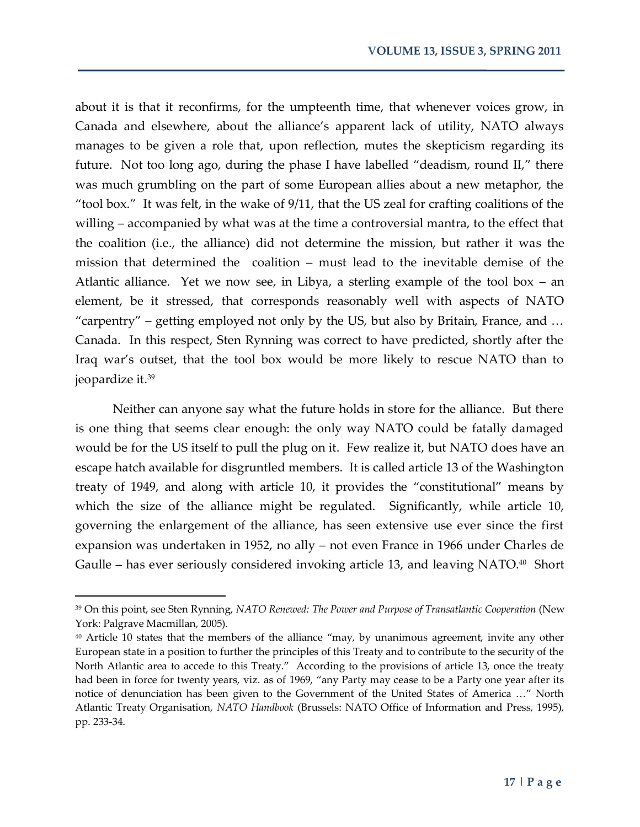about it is that it reconfirms, for the umpteenth time, that whenever voices grow, in Canada and elsewhere, about the alliance's apparent lack of utility, NATO always manages to be given a role that, upon reflection, mutes the skepticism regarding its future. Not too long ago, during the phase I have labelled 'deadism, round II,' there was much grumbling on the part of some European allies about a new metaphor, the 'tool box.' It was felt, in the wake of 9/11, that the US zeal for crafting coalitions of the willing – accompanied by what was at the time a controversial mantra, to the effect that the coalition (i.e., the alliance) did not determine the mission, but rather it was the mission that determined the coalition – must lead to the inevitable demise of the Atlantic alliance. Yet we now see, in Libya, a sterling example of the tool box – an element, be it stressed, that corresponds reasonably well with aspects of NATO "carpentry" – getting employed not only by the US, but also by Britain, France, and  $\ldots$ Canada. In this respect, Sten Rynning was correct to have predicted, shortly after the Iraq war's outset, that the tool box would be more likely to rescue NATO than to jeopardize it.<sup>39</sup>

Neither can anyone say what the future holds in store for the alliance. But there is one thing that seems clear enough: the only way NATO could be fatally damaged would be for the US itself to pull the plug on it. Few realize it, but NATO does have an escape hatch available for disgruntled members. It is called article 13 of the Washington treaty of 1949, and along with article 10, it provides the 'constitutional' means by which the size of the alliance might be regulated. Significantly, while article 10, governing the enlargement of the alliance, has seen extensive use ever since the first expansion was undertaken in 1952, no ally – not even France in 1966 under Charles de Gaulle – has ever seriously considered invoking article 13, and leaving NATO.<sup>40</sup> Short

<sup>39</sup> On this point, see Sten Rynning, *NATO Renewed: The Power and Purpose of Transatlantic Cooperation* (New York: Palgrave Macmillan, 2005).

<sup>40</sup> Article 10 states that the members of the alliance 'may, by unanimous agreement, invite any other European state in a position to further the principles of this Treaty and to contribute to the security of the North Atlantic area to accede to this Treaty.' According to the provisions of article 13, once the treaty had been in force for twenty years, viz. as of 1969, "any Party may cease to be a Party one year after its notice of denunciation has been given to the Government of the United States of America ..." North Atlantic Treaty Organisation, *NATO Handbook* (Brussels: NATO Office of Information and Press, 1995), pp. 233-34.